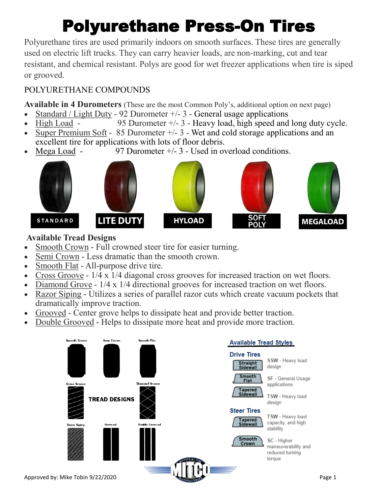# Polyurethane Press-On Tires

Polyurethane tires are used primarily indoors on smooth surfaces. These tires are generally used on electric lift trucks. They can carry heavier loads, are non-marking, cut and tear resistant, and chemical resistant. Polys are good for wet freezer applications when tire is siped or grooved.

### POLYURETHANE COMPOUNDS

**Available in 4 Durometers** (These are the most Common Poly's, additional option on next page)

- Standard / Light Duty 92 Durometer  $+/- 3$  General usage applications
- High Load 95 Durometer  $+/- 3$  Heavy load, high speed and long duty cycle.
- Super Premium Soft  $85$  Durometer  $+/-3$  Wet and cold storage applications and an excellent tire for applications with lots of floor debris.
- Mega Load 97 Durometer  $+/- 3$  Used in overload conditions.



### **Available Tread Designs**

- Smooth Crown Full crowned steer tire for easier turning.
- Semi Crown Less dramatic than the smooth crown.
- Smooth Flat All-purpose drive tire.
- Cross Groove 1/4 x 1/4 diagonal cross grooves for increased traction on wet floors.
- Diamond Grove 1/4 x 1/4 directional grooves for increased traction on wet floors.
- Razor Siping Utilizes a series of parallel razor cuts which create vacuum pockets that dramatically improve traction.
- Grooved Center grove helps to dissipate heat and provide better traction.
- Double Grooved Helps to dissipate more heat and provide more traction.